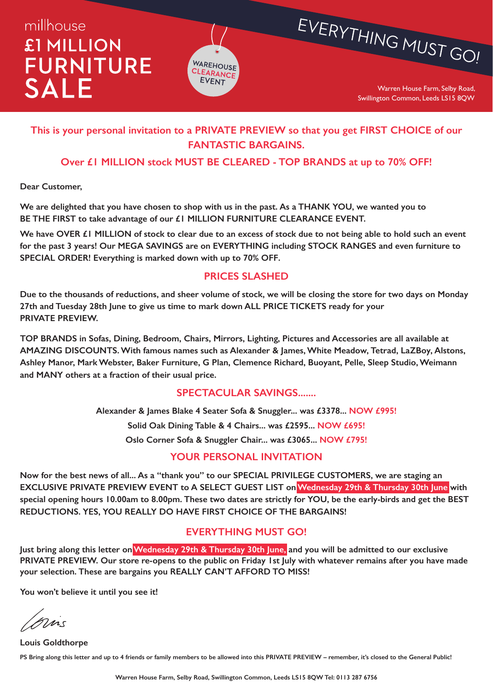## millhouse £1 MILLION **FURNITURE SALE**



Warren House Farm, Selby Road, Swillington Common, Leeds LS15 8QW

EVERYTHING MUST GO!

### **This is your personal invitation to a PRIVATE PREVIEW so that you get FIRST CHOICE of our FANTASTIC BARGAINS.**

#### **Over £1 MILLION stock MUST BE CLEARED - TOP BRANDS at up to 70% OFF!**

**Dear Customer,**

**We are delighted that you have chosen to shop with us in the past. As a THANK YOU, we wanted you to BE THE FIRST to take advantage of our £1 MILLION FURNITURE CLEARANCE EVENT.**

**We have OVER £1 MILLION of stock to clear due to an excess of stock due to not being able to hold such an event for the past 3 years! Our MEGA SAVINGS are on EVERYTHING including STOCK RANGES and even furniture to SPECIAL ORDER! Everything is marked down with up to 70% OFF.**

#### **PRICES SLASHED**

**Due to the thousands of reductions, and sheer volume of stock, we will be closing the store for two days on Monday 27th and Tuesday 28th June to give us time to mark down ALL PRICE TICKETS ready for your PRIVATE PREVIEW.**

**TOP BRANDS in Sofas, Dining, Bedroom, Chairs, Mirrors, Lighting, Pictures and Accessories are all available at AMAZING DISCOUNTS. With famous names such as Alexander & James, White Meadow, Tetrad, LaZBoy, Alstons, Ashley Manor, Mark Webster, Baker Furniture, G Plan, Clemence Richard, Buoyant, Pelle, Sleep Studio, Weimann and MANY others at a fraction of their usual price.**

#### **SPECTACULAR SAVINGS.......**

**Alexander & James Blake 4 Seater Sofa & Snuggler... was £3378... NOW £995! Solid Oak Dining Table & 4 Chairs... was £2595... NOW £695! Oslo Corner Sofa & Snuggler Chair... was £3065... NOW £795!**

#### **YOUR PERSONAL INVITATION**

**Now for the best news of all... As a "thank you" to our SPECIAL PRIVILEGE CUSTOMERS, we are staging an EXCLUSIVE PRIVATE PREVIEW EVENT to A SELECT GUEST LIST on Wednesday 29th & Thursday 30th June with special opening hours 10.00am to 8.00pm. These two dates are strictly for YOU, be the early-birds and get the BEST REDUCTIONS. YES, YOU REALLY DO HAVE FIRST CHOICE OF THE BARGAINS!**

#### **EVERYTHING MUST GO!**

Just bring along this letter on Wednesday 29th & Thursday 30th June, and you will be admitted to our exclusive **PRIVATE PREVIEW. Our store re-opens to the public on Friday 1st July with whatever remains after you have made your selection. These are bargains you REALLY CAN'T AFFORD TO MISS!**

**You won't believe it until you see it!**

mis

**Louis Goldthorpe PS Bring along this letter and up to 4 friends or family members to be allowed into this PRIVATE PREVIEW – remember, it's closed to the General Public!**